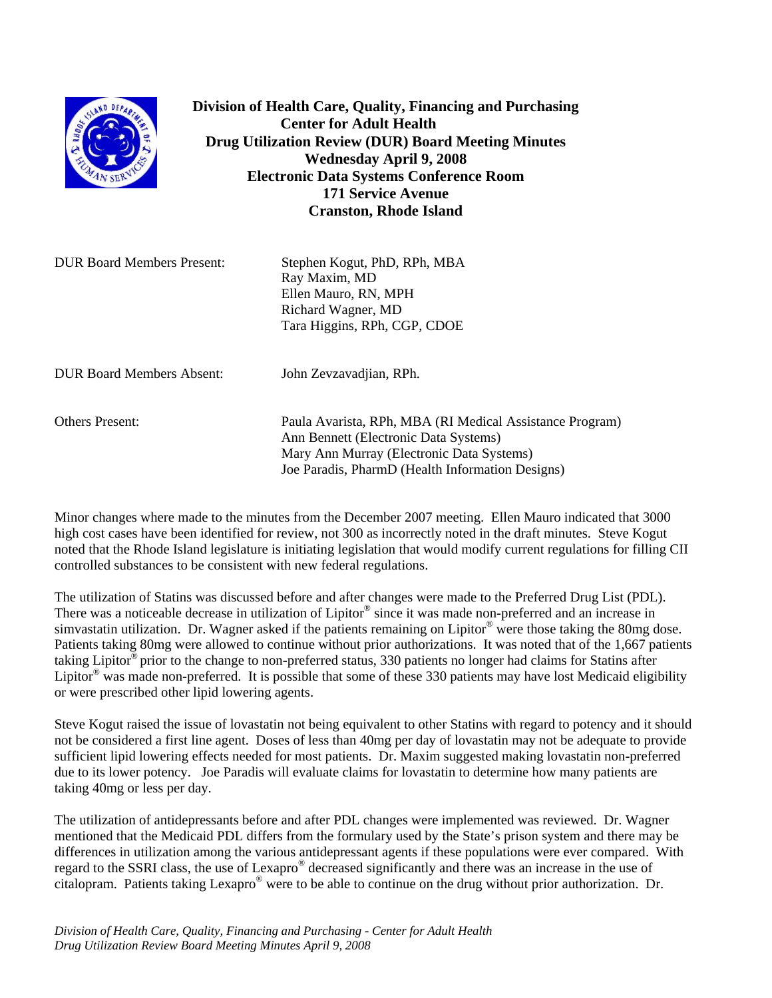

**Division of Health Care, Quality, Financing and Purchasing Center for Adult Health Drug Utilization Review (DUR) Board Meeting Minutes Wednesday April 9, 2008 Electronic Data Systems Conference Room 171 Service Avenue Cranston, Rhode Island** 

DUR Board Members Present: Stephen Kogut, PhD, RPh, MBA Ray Maxim, MD Ellen Mauro, RN, MPH Richard Wagner, MD Tara Higgins, RPh, CGP, CDOE

DUR Board Members Absent: John Zevzavadjian, RPh.

Others Present: Paula Avarista, RPh, MBA (RI Medical Assistance Program) Ann Bennett (Electronic Data Systems) Mary Ann Murray (Electronic Data Systems) Joe Paradis, PharmD (Health Information Designs)

Minor changes where made to the minutes from the December 2007 meeting. Ellen Mauro indicated that 3000 high cost cases have been identified for review, not 300 as incorrectly noted in the draft minutes. Steve Kogut noted that the Rhode Island legislature is initiating legislation that would modify current regulations for filling CII controlled substances to be consistent with new federal regulations.

The utilization of Statins was discussed before and after changes were made to the Preferred Drug List (PDL). There was a noticeable decrease in utilization of Lipitor<sup>®</sup> since it was made non-preferred and an increase in simvastatin utilization. Dr. Wagner asked if the patients remaining on Lipitor® were those taking the 80mg dose. Patients taking 80mg were allowed to continue without prior authorizations. It was noted that of the 1,667 patients taking Lipitor® prior to the change to non-preferred status, 330 patients no longer had claims for Statins after Lipitor<sup>®</sup> was made non-preferred. It is possible that some of these 330 patients may have lost Medicaid eligibility or were prescribed other lipid lowering agents.

Steve Kogut raised the issue of lovastatin not being equivalent to other Statins with regard to potency and it should not be considered a first line agent. Doses of less than 40mg per day of lovastatin may not be adequate to provide sufficient lipid lowering effects needed for most patients. Dr. Maxim suggested making lovastatin non-preferred due to its lower potency. Joe Paradis will evaluate claims for lovastatin to determine how many patients are taking 40mg or less per day.

The utilization of antidepressants before and after PDL changes were implemented was reviewed. Dr. Wagner mentioned that the Medicaid PDL differs from the formulary used by the State's prison system and there may be differences in utilization among the various antidepressant agents if these populations were ever compared. With regard to the SSRI class, the use of Lexapro® decreased significantly and there was an increase in the use of citalopram. Patients taking Lexapro® were to be able to continue on the drug without prior authorization. Dr.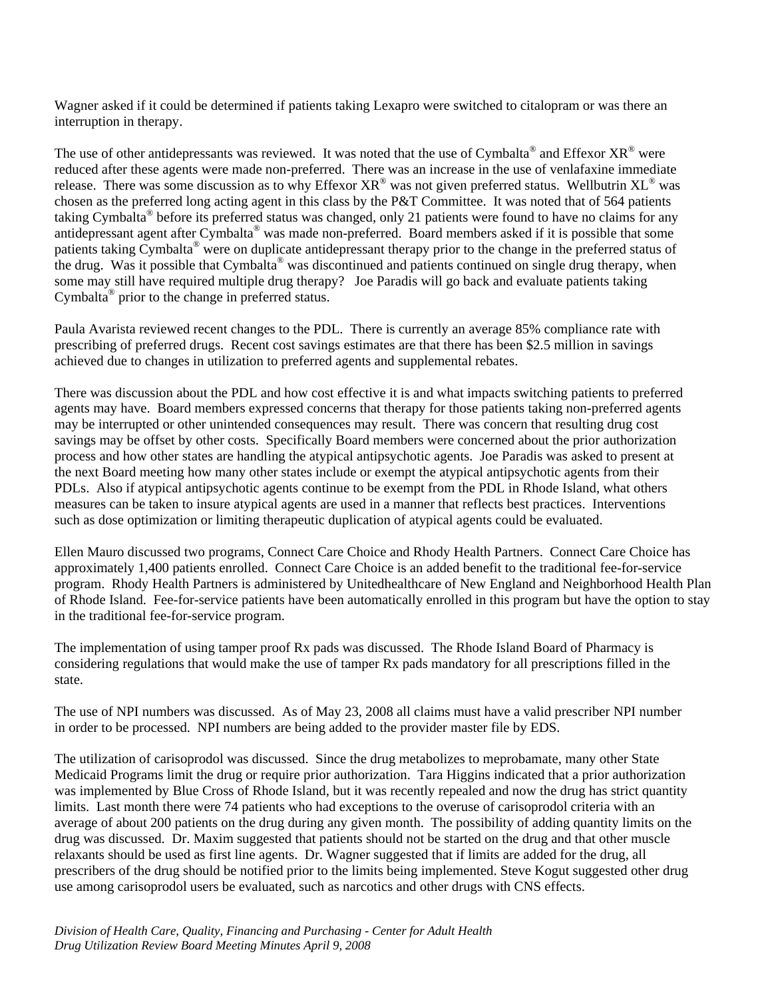Wagner asked if it could be determined if patients taking Lexapro were switched to citalopram or was there an interruption in therapy.

The use of other antidepressants was reviewed. It was noted that the use of Cymbalta<sup>®</sup> and Effexor  $XR^{\circledast}$  were reduced after these agents were made non-preferred. There was an increase in the use of venlafaxine immediate release. There was some discussion as to why Effexor  $XR^{\circ}$  was not given preferred status. Wellbutrin  $XL^{\circ}$  was chosen as the preferred long acting agent in this class by the P&T Committee. It was noted that of 564 patients taking Cymbalta® before its preferred status was changed, only 21 patients were found to have no claims for any antidepressant agent after Cymbalta® was made non-preferred. Board members asked if it is possible that some patients taking Cymbalta® were on duplicate antidepressant therapy prior to the change in the preferred status of the drug. Was it possible that Cymbalta® was discontinued and patients continued on single drug therapy, when some may still have required multiple drug therapy? Joe Paradis will go back and evaluate patients taking Cymbalta® prior to the change in preferred status.

Paula Avarista reviewed recent changes to the PDL. There is currently an average 85% compliance rate with prescribing of preferred drugs. Recent cost savings estimates are that there has been \$2.5 million in savings achieved due to changes in utilization to preferred agents and supplemental rebates.

There was discussion about the PDL and how cost effective it is and what impacts switching patients to preferred agents may have. Board members expressed concerns that therapy for those patients taking non-preferred agents may be interrupted or other unintended consequences may result. There was concern that resulting drug cost savings may be offset by other costs. Specifically Board members were concerned about the prior authorization process and how other states are handling the atypical antipsychotic agents. Joe Paradis was asked to present at the next Board meeting how many other states include or exempt the atypical antipsychotic agents from their PDLs. Also if atypical antipsychotic agents continue to be exempt from the PDL in Rhode Island, what others measures can be taken to insure atypical agents are used in a manner that reflects best practices. Interventions such as dose optimization or limiting therapeutic duplication of atypical agents could be evaluated.

Ellen Mauro discussed two programs, Connect Care Choice and Rhody Health Partners. Connect Care Choice has approximately 1,400 patients enrolled. Connect Care Choice is an added benefit to the traditional fee-for-service program. Rhody Health Partners is administered by Unitedhealthcare of New England and Neighborhood Health Plan of Rhode Island. Fee-for-service patients have been automatically enrolled in this program but have the option to stay in the traditional fee-for-service program.

The implementation of using tamper proof Rx pads was discussed. The Rhode Island Board of Pharmacy is considering regulations that would make the use of tamper Rx pads mandatory for all prescriptions filled in the state.

The use of NPI numbers was discussed. As of May 23, 2008 all claims must have a valid prescriber NPI number in order to be processed. NPI numbers are being added to the provider master file by EDS.

The utilization of carisoprodol was discussed. Since the drug metabolizes to meprobamate, many other State Medicaid Programs limit the drug or require prior authorization. Tara Higgins indicated that a prior authorization was implemented by Blue Cross of Rhode Island, but it was recently repealed and now the drug has strict quantity limits. Last month there were 74 patients who had exceptions to the overuse of carisoprodol criteria with an average of about 200 patients on the drug during any given month. The possibility of adding quantity limits on the drug was discussed. Dr. Maxim suggested that patients should not be started on the drug and that other muscle relaxants should be used as first line agents. Dr. Wagner suggested that if limits are added for the drug, all prescribers of the drug should be notified prior to the limits being implemented. Steve Kogut suggested other drug use among carisoprodol users be evaluated, such as narcotics and other drugs with CNS effects.